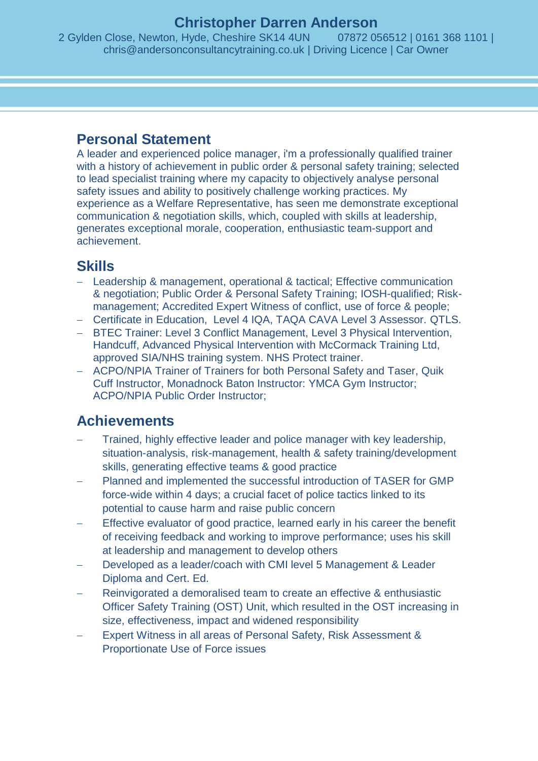## **Christopher Darren Anderson**

2 Gylden Close, Newton, Hyde, Cheshire SK14 4UN 07872 056512 | 0161 368 1101 | chris@andersonconsultancytraining.co.uk | Driving Licence | Car Owner

## **Personal Statement**

A leader and experienced police manager, i'm a professionally qualified trainer with a history of achievement in public order & personal safety training; selected to lead specialist training where my capacity to objectively analyse personal safety issues and ability to positively challenge working practices. My experience as a Welfare Representative, has seen me demonstrate exceptional communication & negotiation skills, which, coupled with skills at leadership, generates exceptional morale, cooperation, enthusiastic team-support and achievement.

## **Skills**

- Leadership & management, operational & tactical; Effective communication & negotiation; Public Order & Personal Safety Training; IOSH-qualified; Riskmanagement; Accredited Expert Witness of conflict, use of force & people;
- Certificate in Education, Level 4 IQA, TAQA CAVA Level 3 Assessor, QTLS,
- BTEC Trainer: Level 3 Conflict Management, Level 3 Physical Intervention, Handcuff, Advanced Physical Intervention with McCormack Training Ltd, approved SIA/NHS training system. NHS Protect trainer.
- ACPO/NPIA Trainer of Trainers for both Personal Safety and Taser, Quik Cuff Instructor, Monadnock Baton Instructor: YMCA Gym Instructor; ACPO/NPIA Public Order Instructor;

# **Achievements**

- Trained, highly effective leader and police manager with key leadership, situation-analysis, risk-management, health & safety training/development skills, generating effective teams & good practice
- Planned and implemented the successful introduction of TASER for GMP force-wide within 4 days; a crucial facet of police tactics linked to its potential to cause harm and raise public concern
- Effective evaluator of good practice, learned early in his career the benefit of receiving feedback and working to improve performance; uses his skill at leadership and management to develop others
- Developed as a leader/coach with CMI level 5 Management & Leader Diploma and Cert. Ed.
- Reinvigorated a demoralised team to create an effective & enthusiastic Officer Safety Training (OST) Unit, which resulted in the OST increasing in size, effectiveness, impact and widened responsibility
- Expert Witness in all areas of Personal Safety, Risk Assessment & Proportionate Use of Force issues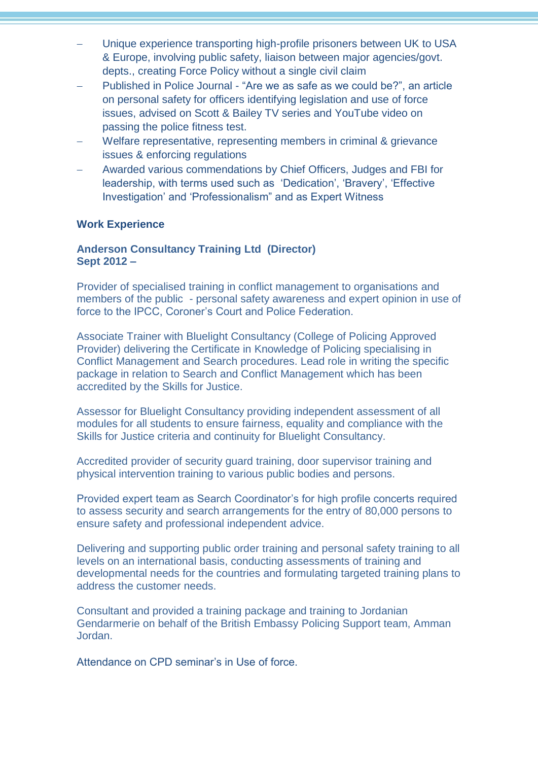- Unique experience transporting high-profile prisoners between UK to USA & Europe, involving public safety, liaison between major agencies/govt. depts., creating Force Policy without a single civil claim
- Published in Police Journal "Are we as safe as we could be?", an article on personal safety for officers identifying legislation and use of force issues, advised on Scott & Bailey TV series and YouTube video on passing the police fitness test.
- Welfare representative, representing members in criminal & grievance issues & enforcing regulations
- Awarded various commendations by Chief Officers, Judges and FBI for leadership, with terms used such as 'Dedication', 'Bravery', 'Effective Investigation' and 'Professionalism" and as Expert Witness

#### **Work Experience**

#### **Anderson Consultancy Training Ltd (Director) Sept 2012 –**

Provider of specialised training in conflict management to organisations and members of the public - personal safety awareness and expert opinion in use of force to the IPCC, Coroner's Court and Police Federation.

Associate Trainer with Bluelight Consultancy (College of Policing Approved Provider) delivering the Certificate in Knowledge of Policing specialising in Conflict Management and Search procedures. Lead role in writing the specific package in relation to Search and Conflict Management which has been accredited by the Skills for Justice.

Assessor for Bluelight Consultancy providing independent assessment of all modules for all students to ensure fairness, equality and compliance with the Skills for Justice criteria and continuity for Bluelight Consultancy.

Accredited provider of security guard training, door supervisor training and physical intervention training to various public bodies and persons.

Provided expert team as Search Coordinator's for high profile concerts required to assess security and search arrangements for the entry of 80,000 persons to ensure safety and professional independent advice.

Delivering and supporting public order training and personal safety training to all levels on an international basis, conducting assessments of training and developmental needs for the countries and formulating targeted training plans to address the customer needs.

Consultant and provided a training package and training to Jordanian Gendarmerie on behalf of the British Embassy Policing Support team, Amman Jordan.

Attendance on CPD seminar's in Use of force.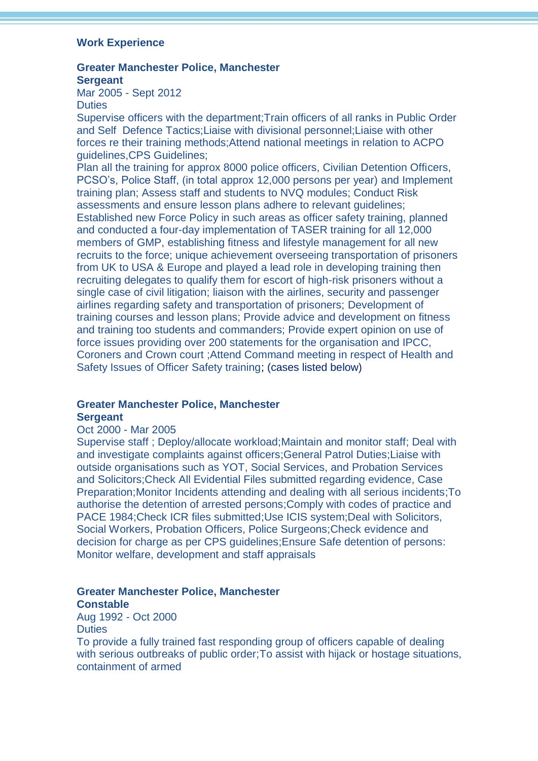#### **Work Experience**

## **Greater Manchester Police, Manchester Sergeant**

Mar 2005 - Sept 2012 **Duties** 

Supervise officers with the department;Train officers of all ranks in Public Order and Self Defence Tactics;Liaise with divisional personnel;Liaise with other forces re their training methods;Attend national meetings in relation to ACPO guidelines,CPS Guidelines;

Plan all the training for approx 8000 police officers, Civilian Detention Officers, PCSO's, Police Staff, (in total approx 12,000 persons per year) and Implement training plan; Assess staff and students to NVQ modules; Conduct Risk assessments and ensure lesson plans adhere to relevant guidelines; Established new Force Policy in such areas as officer safety training, planned and conducted a four-day implementation of TASER training for all 12,000 members of GMP, establishing fitness and lifestyle management for all new recruits to the force; unique achievement overseeing transportation of prisoners from UK to USA & Europe and played a lead role in developing training then recruiting delegates to qualify them for escort of high-risk prisoners without a single case of civil litigation; liaison with the airlines, security and passenger airlines regarding safety and transportation of prisoners; Development of training courses and lesson plans; Provide advice and development on fitness and training too students and commanders; Provide expert opinion on use of force issues providing over 200 statements for the organisation and IPCC, Coroners and Crown court ;Attend Command meeting in respect of Health and Safety Issues of Officer Safety training; (cases listed below)

### **Greater Manchester Police, Manchester Sergeant**

#### Oct 2000 - Mar 2005

Supervise staff ; Deploy/allocate workload;Maintain and monitor staff; Deal with and investigate complaints against officers;General Patrol Duties;Liaise with outside organisations such as YOT, Social Services, and Probation Services and Solicitors;Check All Evidential Files submitted regarding evidence, Case Preparation;Monitor Incidents attending and dealing with all serious incidents;To authorise the detention of arrested persons;Comply with codes of practice and PACE 1984;Check ICR files submitted;Use ICIS system;Deal with Solicitors, Social Workers, Probation Officers, Police Surgeons;Check evidence and decision for charge as per CPS guidelines;Ensure Safe detention of persons: Monitor welfare, development and staff appraisals

### **Greater Manchester Police, Manchester Constable**

Aug 1992 - Oct 2000 **Duties** 

To provide a fully trained fast responding group of officers capable of dealing with serious outbreaks of public order;To assist with hijack or hostage situations, containment of armed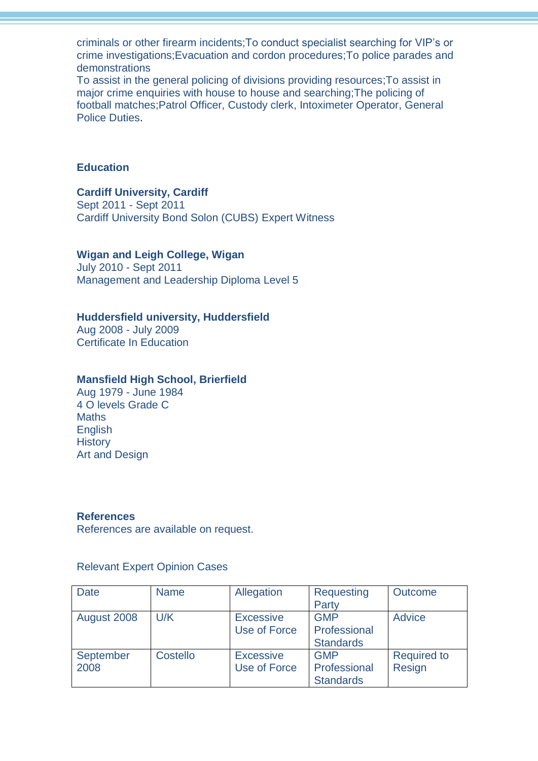criminals or other firearm incidents;To conduct specialist searching for VIP's or crime investigations;Evacuation and cordon procedures;To police parades and demonstrations

To assist in the general policing of divisions providing resources;To assist in major crime enquiries with house to house and searching;The policing of football matches;Patrol Officer, Custody clerk, Intoximeter Operator, General Police Duties.

#### **Education**

### **Cardiff University, Cardiff**

Sept 2011 - Sept 2011 Cardiff University Bond Solon (CUBS) Expert Witness

#### **Wigan and Leigh College, Wigan**

July 2010 - Sept 2011 Management and Leadership Diploma Level 5

#### **Huddersfield university, Huddersfield**

Aug 2008 - July 2009 Certificate In Education

#### **Mansfield High School, Brierfield**

Aug 1979 - June 1984 4 O levels Grade C **Maths English History** Art and Design

#### **References**

References are available on request.

#### Relevant Expert Opinion Cases

| <b>Date</b> | <b>Name</b> | Allegation       | Requesting       | <b>Outcome</b>     |
|-------------|-------------|------------------|------------------|--------------------|
|             |             |                  | Party            |                    |
| August 2008 | U/K         | <b>Excessive</b> | <b>GMP</b>       | <b>Advice</b>      |
|             |             | Use of Force     | Professional     |                    |
|             |             |                  | <b>Standards</b> |                    |
| September   | Costello    | <b>Excessive</b> | <b>GMP</b>       | <b>Required to</b> |
| 2008        |             | Use of Force     | Professional     | Resign             |
|             |             |                  | <b>Standards</b> |                    |